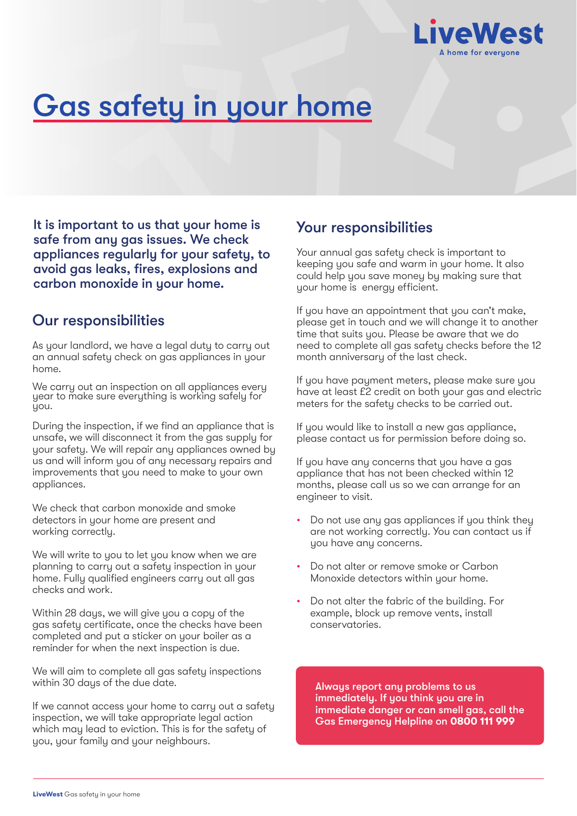

# Gas safety in your home

It is important to us that your home is safe from any gas issues. We check appliances regularly for your safety, to avoid gas leaks, fires, explosions and carbon monoxide in your home.

### Our responsibilities

As your landlord, we have a legal duty to carry out an annual safety check on gas appliances in your home.

We carry out an inspection on all appliances every year to make sure everything is working safely for you.

During the inspection, if we find an appliance that is unsafe, we will disconnect it from the gas supply for your safety. We will repair any appliances owned by us and will inform you of any necessary repairs and improvements that you need to make to your own appliances.

We check that carbon monoxide and smoke detectors in your home are present and working correctly.

We will write to you to let you know when we are planning to carry out a safety inspection in your home. Fully qualified engineers carry out all gas checks and work.

Within 28 days, we will give you a copy of the gas safety certificate, once the checks have been completed and put a sticker on your boiler as a reminder for when the next inspection is due.

We will aim to complete all gas safety inspections within 30 days of the due date.

If we cannot access your home to carry out a safety inspection, we will take appropriate legal action which may lead to eviction. This is for the safety of you, your family and your neighbours.

## Your responsibilities

Your annual gas safety check is important to keeping you safe and warm in your home. It also could help you save money by making sure that your home is energy efficient.

If you have an appointment that you can't make, please get in touch and we will change it to another time that suits you. Please be aware that we do need to complete all gas safety checks before the 12 month anniversary of the last check.

If you have payment meters, please make sure you have at least £2 credit on both your gas and electric meters for the safety checks to be carried out.

If you would like to install a new gas appliance, please contact us for permission before doing so.

If you have any concerns that you have a gas appliance that has not been checked within 12 months, please call us so we can arrange for an engineer to visit.

- Do not use any gas appliances if you think they are not working correctly. You can contact us if you have any concerns.
- Do not alter or remove smoke or Carbon Monoxide detectors within your home.
- Do not alter the fabric of the building. For example, block up remove vents, install conservatories.

Always report any problems to us immediately. If you think you are in immediate danger or can smell gas, call the Gas Emergency Helpline on **0800 111 999**